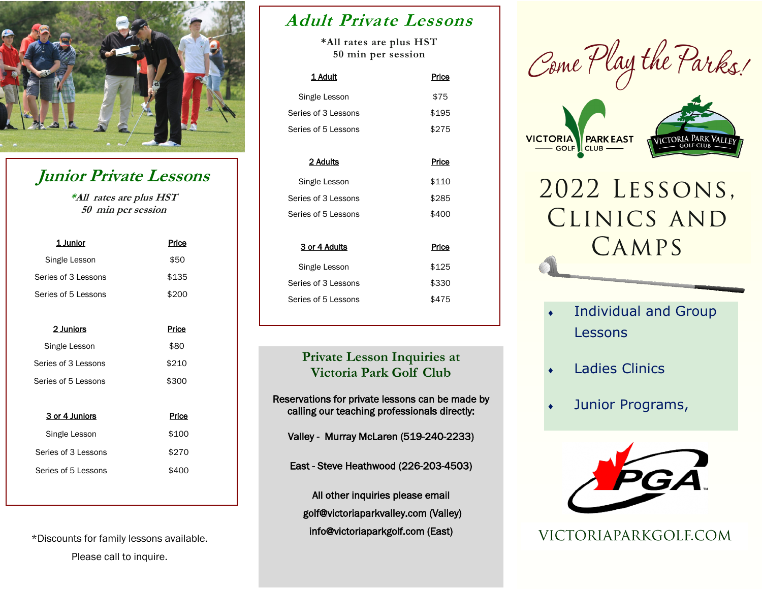

# **Junior Private Lessons**

**\*All rates are plus HST 50 min per session**

| 1 Junior            | Price |  |  |
|---------------------|-------|--|--|
| Single Lesson       | \$50  |  |  |
| Series of 3 Lessons | \$135 |  |  |
| Series of 5 Lessons | \$200 |  |  |
|                     |       |  |  |
| 2 Juniors           | Price |  |  |
| Single Lesson       | \$80  |  |  |
| Series of 3 Lessons | \$210 |  |  |
| Series of 5 Lessons | \$300 |  |  |
|                     |       |  |  |
| 3 or 4 Juniors      | Price |  |  |
| Single Lesson       | \$100 |  |  |
| Series of 3 Lessons | \$270 |  |  |
| Series of 5 Lessons | \$400 |  |  |

\*Discounts for family lessons available. Please call to inquire.

### **Adult Private Lessons**

**\*All rates are plus HST 50 min per session**

| 1 Adult             | Price |
|---------------------|-------|
| Single Lesson       | \$75  |
| Series of 3 Lessons | \$195 |
| Series of 5 Lessons | \$275 |
|                     |       |

| 2 Adults            | Price |
|---------------------|-------|
| Single Lesson       | \$110 |
| Series of 3 Lessons | \$285 |
| Series of 5 Lessons | \$400 |
|                     |       |
|                     |       |
| 3 or 4 Adults       | Price |
| Single Lesson       | \$125 |
| Series of 3 Lessons | \$330 |
| Series of 5 Lessons | \$475 |

#### **Private Lesson Inquiries at Victoria Park Golf Club**

Reservations for private lessons can be made by calling our teaching professionals directly:

Valley - Murray McLaren (519-240-2233)

East - Steve Heathwood (226-203-4503)

All other inquiries please email golf@victoriaparkvalley.com (Valley) info@victoriaparkgolf.com (East)







- Individual and Group Lessons
- Ladies Clinics
- Junior Programs,



VICTORIAPARKGOLF.COM